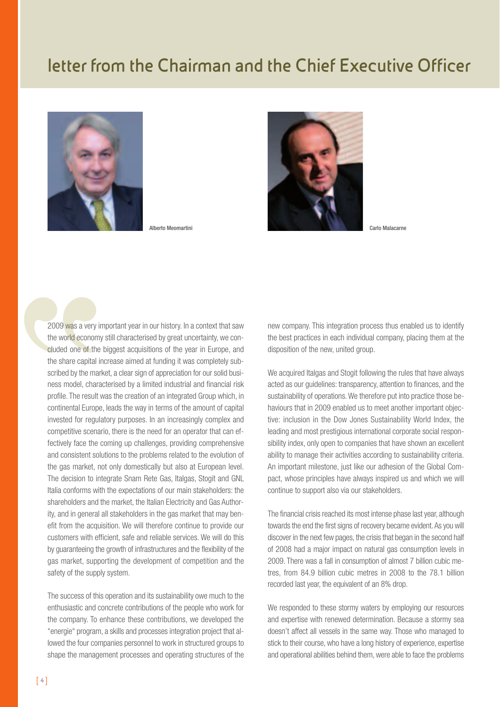## **letter from the Chairman and the Chief Executive Officer**





2009 was a very important year in our history. In a context that saw the world economy still characterised by great uncertainty, we concluded one of the biggest acquisitions of the year in Europe, and the share capital increase aimed at funding it was completely subscribed by the market, a clear sign of appreciation for our solid business model, characterised by a limited industrial and financial risk profile. The result was the creation of an integrated Group which, in continental Europe, leads the way in terms of the amount of capital invested for regulatory purposes. In an increasingly complex and competitive scenario, there is the need for an operator that can effectively face the coming up challenges, providing comprehensive and consistent solutions to the problems related to the evolution of the gas market, not only domestically but also at European level. The decision to integrate Snam Rete Gas, Italgas, Stogit and GNL Italia conforms with the expectations of our main stakeholders: the shareholders and the market, the Italian Electricity and Gas Authority, and in general all stakeholders in the gas market that may benefit from the acquisition. We will therefore continue to provide our customers with efficient, safe and reliable services. We will do this by guaranteeing the growth of infrastructures and the flexibility of the gas market, supporting the development of competition and the safety of the supply system.

The success of this operation and its sustainability owe much to the enthusiastic and concrete contributions of the people who work for the company. To enhance these contributions, we developed the "energie" program, a skills and processes integration project that allowed the four companies personnel to work in structured groups to shape the management processes and operating structures of the

new company. This integration process thus enabled us to identify the best practices in each individual company, placing them at the disposition of the new, united group.

We acquired Italgas and Stogit following the rules that have always acted as our guidelines: transparency, attention to finances, and the sustainability of operations. We therefore put into practice those behaviours that in 2009 enabled us to meet another important objective: inclusion in the Dow Jones Sustainability World Index, the leading and most prestigious international corporate social responsibility index, only open to companies that have shown an excellent ability to manage their activities according to sustainability criteria. An important milestone, just like our adhesion of the Global Compact, whose principles have always inspired us and which we will continue to support also via our stakeholders.

The financial crisis reached its most intense phase last year, although towards the end the first signs of recovery became evident. As you will discover in the next few pages, the crisis that began in the second half of 2008 had a major impact on natural gas consumption levels in 2009. There was a fall in consumption of almost 7 billion cubic metres, from 84.9 billion cubic metres in 2008 to the 78.1 billion recorded last year, the equivalent of an 8% drop.

We responded to these stormy waters by employing our resources and expertise with renewed determination. Because a stormy sea doesn't affect all vessels in the same way. Those who managed to stick to their course, who have a long history of experience, expertise and operational abilities behind them, were able to face the problems